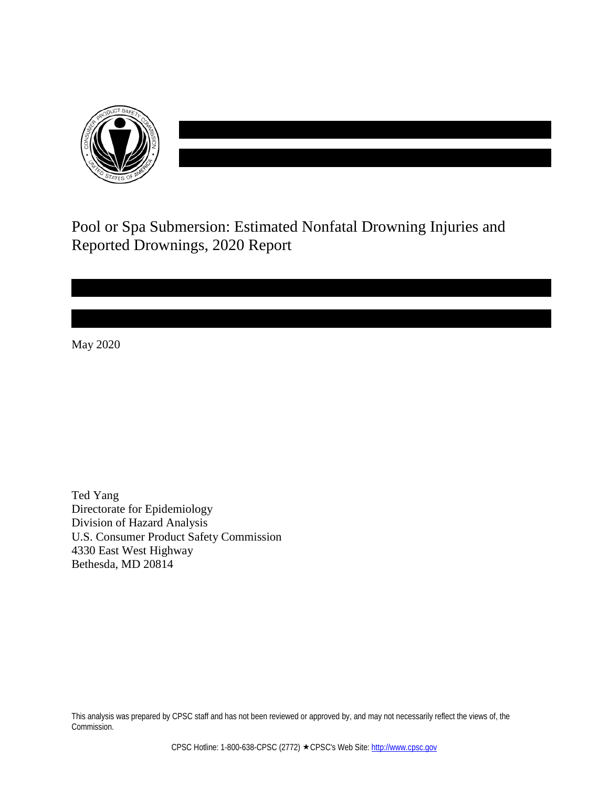

Pool or Spa Submersion: Estimated Nonfatal Drowning Injuries and Reported Drownings, 2020 Report

May 2020

Ted Yang Directorate for Epidemiology Division of Hazard Analysis U.S. Consumer Product Safety Commission 4330 East West Highway Bethesda, MD 20814

This analysis was prepared by CPSC staff and has not been reviewed or approved by, and may not necessarily reflect the views of, the Commission.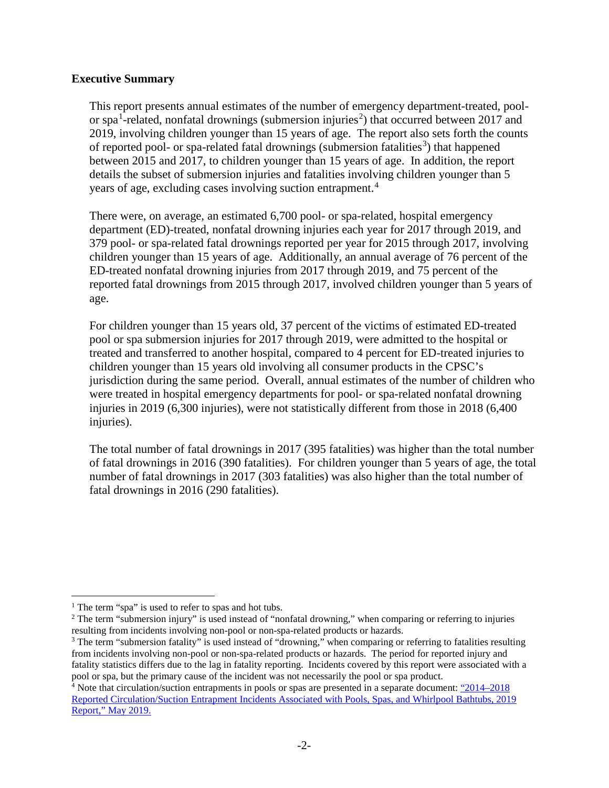# **Executive Summary**

This report presents annual estimates of the number of emergency department-treated, pool-or spa<sup>[1](#page-1-0)</sup>-related, nonfatal drownings (submersion injuries<sup>[2](#page-1-1)</sup>) that occurred between 2017 and 2019, involving children younger than 15 years of age. The report also sets forth the counts of reported pool- or spa-related fatal drownings (submersion fatalities<sup>[3](#page-1-2)</sup>) that happened between 2015 and 2017, to children younger than 15 years of age. In addition, the report details the subset of submersion injuries and fatalities involving children younger than 5 years of age, excluding cases involving suction entrapment. [4](#page-1-3)

There were, on average, an estimated 6,700 pool- or spa-related, hospital emergency department (ED)-treated, nonfatal drowning injuries each year for 2017 through 2019, and 379 pool- or spa-related fatal drownings reported per year for 2015 through 2017, involving children younger than 15 years of age. Additionally, an annual average of 76 percent of the ED-treated nonfatal drowning injuries from 2017 through 2019, and 75 percent of the reported fatal drownings from 2015 through 2017, involved children younger than 5 years of age.

For children younger than 15 years old, 37 percent of the victims of estimated ED-treated pool or spa submersion injuries for 2017 through 2019, were admitted to the hospital or treated and transferred to another hospital, compared to 4 percent for ED-treated injuries to children younger than 15 years old involving all consumer products in the CPSC's jurisdiction during the same period. Overall, annual estimates of the number of children who were treated in hospital emergency departments for pool- or spa-related nonfatal drowning injuries in 2019 (6,300 injuries), were not statistically different from those in 2018 (6,400 injuries).

The total number of fatal drownings in 2017 (395 fatalities) was higher than the total number of fatal drownings in 2016 (390 fatalities). For children younger than 5 years of age, the total number of fatal drownings in 2017 (303 fatalities) was also higher than the total number of fatal drownings in 2016 (290 fatalities).

<span id="page-1-0"></span><sup>&</sup>lt;sup>1</sup> The term "spa" is used to refer to spas and hot tubs.

<span id="page-1-1"></span><sup>&</sup>lt;sup>2</sup> The term "submersion injury" is used instead of "nonfatal drowning," when comparing or referring to injuries resulting from incidents involving non-pool or non-spa-related products or hazards.

<span id="page-1-2"></span><sup>&</sup>lt;sup>3</sup> The term "submersion fatality" is used instead of "drowning," when comparing or referring to fatalities resulting from incidents involving non-pool or non-spa-related products or hazards. The period for reported injury and fatality statistics differs due to the lag in fatality reporting. Incidents covered by this report were associated with a pool or spa, but the primary cause of the incident was not necessarily the pool or spa product.

<span id="page-1-3"></span><sup>&</sup>lt;sup>4</sup> Note that circulation/suction entrapments in pools or spas are presented in a separate document: "2014–2018 [Reported Circulation/Suction Entrapment Incidents Associated with Pools, Spas, and Whirlpool Bathtubs, 2019](https://www.cpsc.gov/s3fs-public/2019_Circulation_Entrapment.pdf?IzoaBlClbtP70RRVUJqPK3RI4Ikxyety)  Report," [May 2019.](https://www.cpsc.gov/s3fs-public/2019_Circulation_Entrapment.pdf?IzoaBlClbtP70RRVUJqPK3RI4Ikxyety)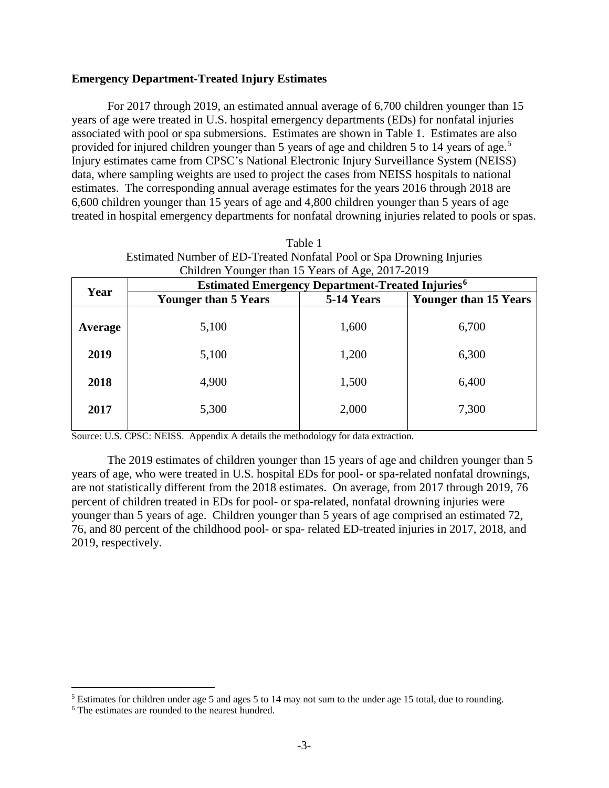## **Emergency Department-Treated Injury Estimates**

For 2017 through 2019, an estimated annual average of 6,700 children younger than 15 years of age were treated in U.S. hospital emergency departments (EDs) for nonfatal injuries associated with pool or spa submersions. Estimates are shown in Table 1. Estimates are also provided for injured children younger than [5](#page-2-0) years of age and children 5 to 14 years of age.<sup>5</sup> Injury estimates came from CPSC's National Electronic Injury Surveillance System (NEISS) data, where sampling weights are used to project the cases from NEISS hospitals to national estimates. The corresponding annual average estimates for the years 2016 through 2018 are 6,600 children younger than 15 years of age and 4,800 children younger than 5 years of age treated in hospital emergency departments for nonfatal drowning injuries related to pools or spas.

Table 1

| Estimated Number of ED-Treated Nonfatal Pool or Spa Drowning Injuries |                                                                     |            |                              |  |  |
|-----------------------------------------------------------------------|---------------------------------------------------------------------|------------|------------------------------|--|--|
| Children Younger than 15 Years of Age, 2017-2019                      |                                                                     |            |                              |  |  |
| Year                                                                  | <b>Estimated Emergency Department-Treated Injuries</b> <sup>6</sup> |            |                              |  |  |
|                                                                       | <b>Younger than 5 Years</b>                                         | 5-14 Years | <b>Younger than 15 Years</b> |  |  |
| Average                                                               | 5,100                                                               | 1,600      | 6,700                        |  |  |
| 2019                                                                  | 5,100                                                               | 1,200      | 6,300                        |  |  |
| 2018                                                                  | 4,900                                                               | 1,500      | 6,400                        |  |  |
| 2017                                                                  | 5,300                                                               | 2,000      | 7,300                        |  |  |

Source: U.S. CPSC: NEISS. Appendix A details the methodology for data extraction.

The 2019 estimates of children younger than 15 years of age and children younger than 5 years of age, who were treated in U.S. hospital EDs for pool- or spa-related nonfatal drownings, are not statistically different from the 2018 estimates. On average, from 2017 through 2019, 76 percent of children treated in EDs for pool- or spa-related, nonfatal drowning injuries were younger than 5 years of age. Children younger than 5 years of age comprised an estimated 72, 76, and 80 percent of the childhood pool- or spa- related ED-treated injuries in 2017, 2018, and 2019, respectively.

<span id="page-2-0"></span> <sup>5</sup> Estimates for children under age 5 and ages 5 to 14 may not sum to the under age 15 total, due to rounding.

<span id="page-2-1"></span><sup>6</sup> The estimates are rounded to the nearest hundred.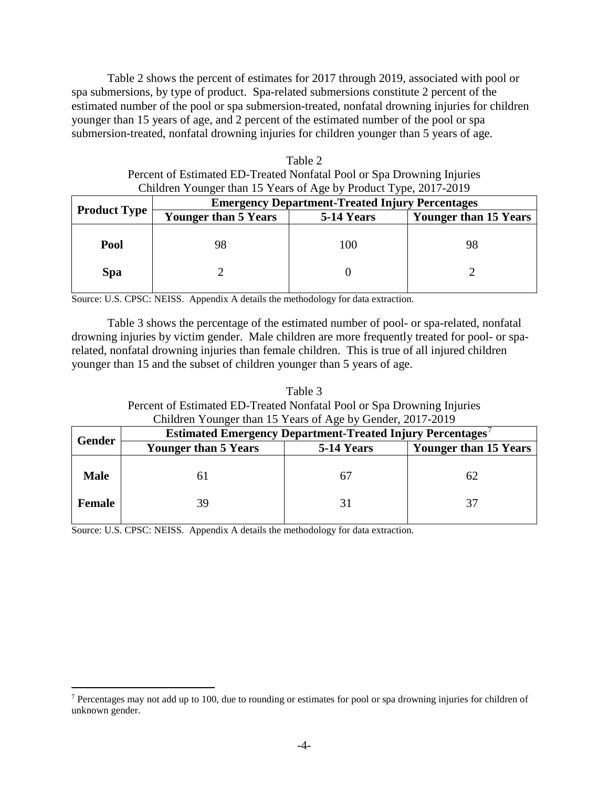Table 2 shows the percent of estimates for 2017 through 2019, associated with pool or spa submersions, by type of product. Spa-related submersions constitute 2 percent of the estimated number of the pool or spa submersion-treated, nonfatal drowning injuries for children younger than 15 years of age, and 2 percent of the estimated number of the pool or spa submersion-treated, nonfatal drowning injuries for children younger than 5 years of age.

| Table 2                                                                |
|------------------------------------------------------------------------|
| Percent of Estimated ED-Treated Nonfatal Pool or Spa Drowning Injuries |
| Children Younger than 15 Years of Age by Product Type, 2017-2019       |

|                     | <b>Emergency Department-Treated Injury Percentages</b> |            |                              |  |
|---------------------|--------------------------------------------------------|------------|------------------------------|--|
| <b>Product Type</b> | <b>Younger than 5 Years</b>                            | 5-14 Years | <b>Younger than 15 Years</b> |  |
| Pool                | 98                                                     | 100        | 98                           |  |
| Spa                 |                                                        |            |                              |  |

Source: U.S. CPSC: NEISS. Appendix A details the methodology for data extraction.

Table 3 shows the percentage of the estimated number of pool- or spa-related, nonfatal drowning injuries by victim gender. Male children are more frequently treated for pool- or sparelated, nonfatal drowning injuries than female children. This is true of all injured children younger than 15 and the subset of children younger than 5 years of age.

| Table 3                                                                |
|------------------------------------------------------------------------|
| Percent of Estimated ED-Treated Nonfatal Pool or Spa Drowning Injuries |
| Children Younger than 15 Years of Age by Gender, 2017-2019             |

| Contracted Touriger than 19 Teams of Age by Oction, 2017-2017 |                                                                  |            |                              |  |
|---------------------------------------------------------------|------------------------------------------------------------------|------------|------------------------------|--|
| <b>Gender</b>                                                 | <b>Estimated Emergency Department-Treated Injury Percentages</b> |            |                              |  |
|                                                               | <b>Younger than 5 Years</b>                                      | 5-14 Years | <b>Younger than 15 Years</b> |  |
| <b>Male</b>                                                   |                                                                  | 67         | 62                           |  |
| Female                                                        | 39                                                               | 31         | 37                           |  |

<span id="page-3-0"></span><sup>&</sup>lt;sup>7</sup> Percentages may not add up to 100, due to rounding or estimates for pool or spa drowning injuries for children of unknown gender.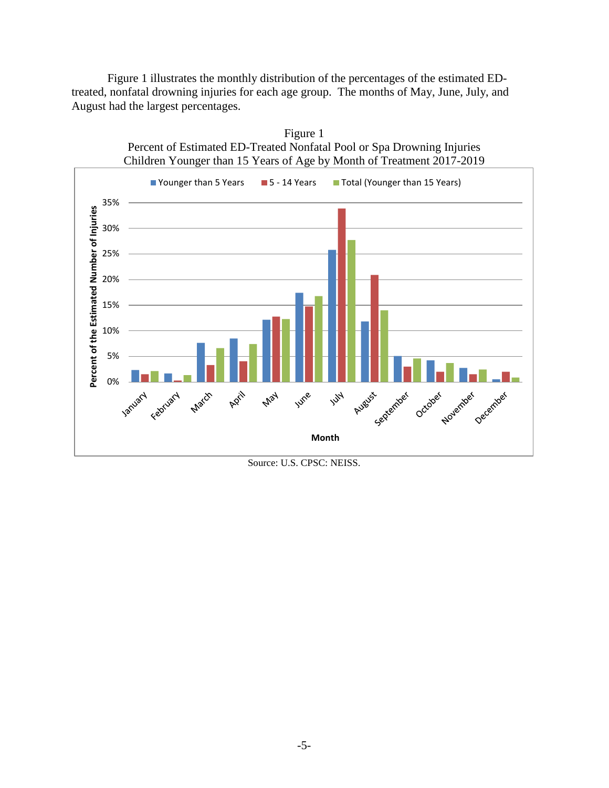Figure 1 illustrates the monthly distribution of the percentages of the estimated EDtreated, nonfatal drowning injuries for each age group. The months of May, June, July, and August had the largest percentages.



Source: U.S. CPSC: NEISS.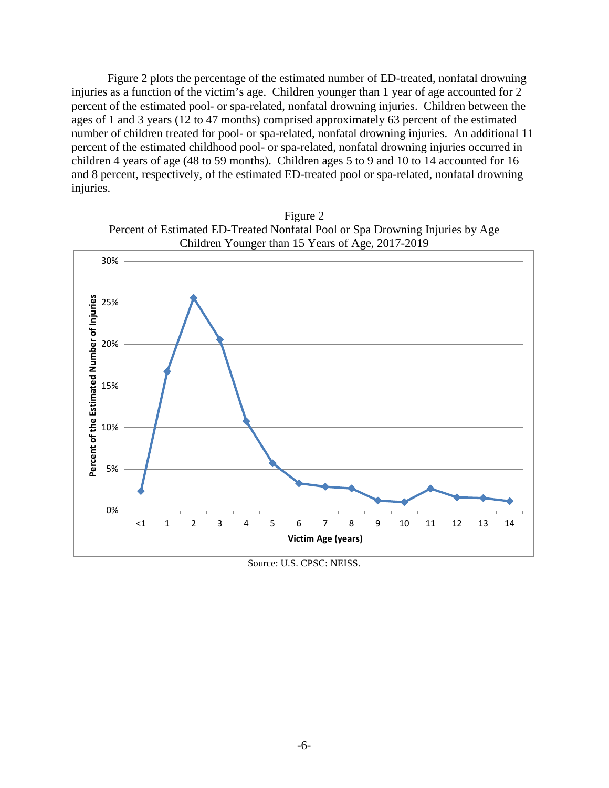Figure 2 plots the percentage of the estimated number of ED-treated, nonfatal drowning injuries as a function of the victim's age. Children younger than 1 year of age accounted for 2 percent of the estimated pool- or spa-related, nonfatal drowning injuries. Children between the ages of 1 and 3 years (12 to 47 months) comprised approximately 63 percent of the estimated number of children treated for pool- or spa-related, nonfatal drowning injuries. An additional 11 percent of the estimated childhood pool- or spa-related, nonfatal drowning injuries occurred in children 4 years of age (48 to 59 months). Children ages 5 to 9 and 10 to 14 accounted for 16 and 8 percent, respectively, of the estimated ED-treated pool or spa-related, nonfatal drowning injuries.





Source: U.S. CPSC: NEISS.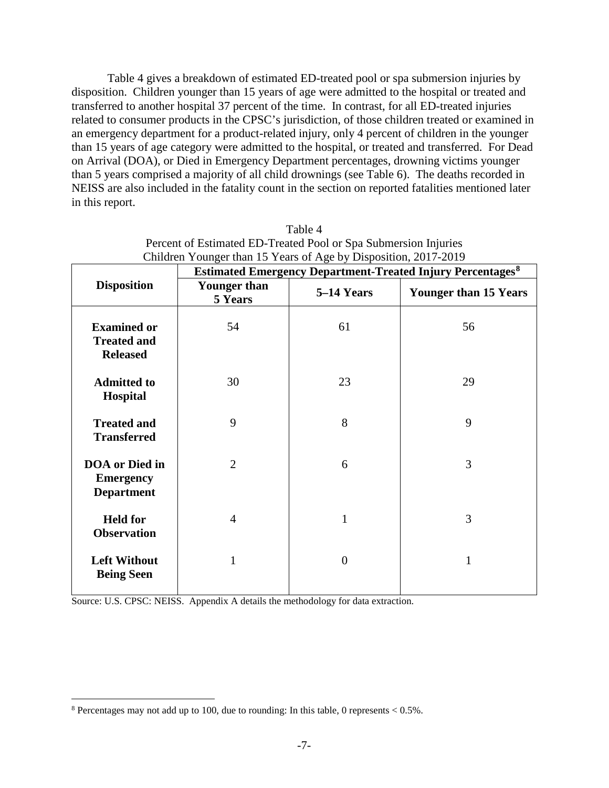Table 4 gives a breakdown of estimated ED-treated pool or spa submersion injuries by disposition. Children younger than 15 years of age were admitted to the hospital or treated and transferred to another hospital 37 percent of the time. In contrast, for all ED-treated injuries related to consumer products in the CPSC's jurisdiction, of those children treated or examined in an emergency department for a product-related injury, only 4 percent of children in the younger than 15 years of age category were admitted to the hospital, or treated and transferred. For Dead on Arrival (DOA), or Died in Emergency Department percentages, drowning victims younger than 5 years comprised a majority of all child drownings (see Table 6). The deaths recorded in NEISS are also included in the fatality count in the section on reported fatalities mentioned later in this report.

|                                                                | <b>Estimated Emergency Department-Treated Injury Percentages<sup>8</sup></b> |                |                              |  |
|----------------------------------------------------------------|------------------------------------------------------------------------------|----------------|------------------------------|--|
| <b>Disposition</b>                                             | <b>Younger than</b><br>5 Years                                               | 5-14 Years     | <b>Younger than 15 Years</b> |  |
| <b>Examined or</b><br><b>Treated and</b><br><b>Released</b>    | 54                                                                           | 61             | 56                           |  |
| <b>Admitted to</b><br><b>Hospital</b>                          | 30                                                                           | 23             | 29                           |  |
| <b>Treated and</b><br><b>Transferred</b>                       | 9                                                                            | 8              | 9                            |  |
| <b>DOA</b> or Died in<br><b>Emergency</b><br><b>Department</b> | $\overline{2}$                                                               | 6              | 3                            |  |
| <b>Held for</b><br><b>Observation</b>                          | 4                                                                            | $\mathbf{1}$   | 3                            |  |
| <b>Left Without</b><br><b>Being Seen</b>                       | $\mathbf{1}$                                                                 | $\overline{0}$ | $\mathbf{1}$                 |  |

| Table 4                                                         |
|-----------------------------------------------------------------|
| Percent of Estimated ED-Treated Pool or Spa Submersion Injuries |
| Children Younger than 15 Years of Age by Disposition, 2017-2019 |
|                                                                 |

<span id="page-6-0"></span> $8$  Percentages may not add up to 100, due to rounding: In this table, 0 represents  $< 0.5\%$ .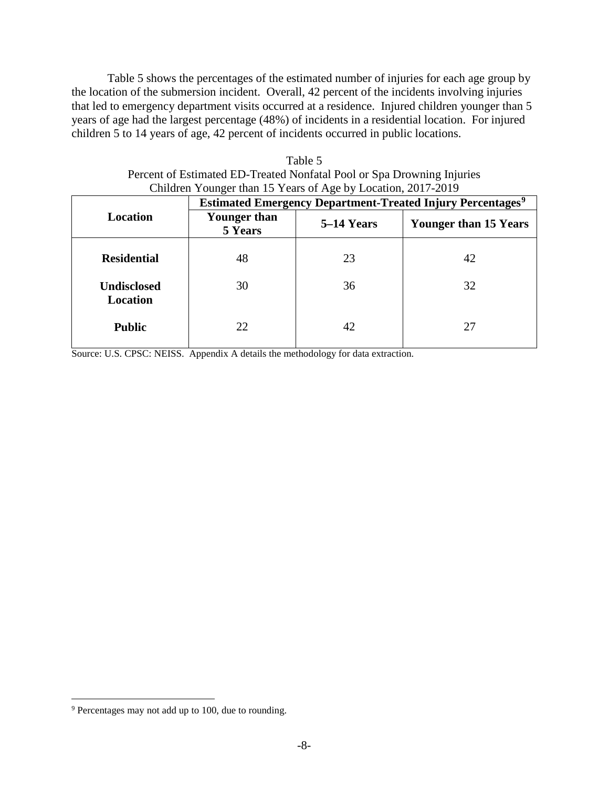Table 5 shows the percentages of the estimated number of injuries for each age group by the location of the submersion incident. Overall, 42 percent of the incidents involving injuries that led to emergency department visits occurred at a residence. Injured children younger than 5 years of age had the largest percentage (48%) of incidents in a residential location. For injured children 5 to 14 years of age, 42 percent of incidents occurred in public locations.

| Children Younger than 15 Years of Age by Location, 2017-2019 |                                                                              |            |                              |  |
|--------------------------------------------------------------|------------------------------------------------------------------------------|------------|------------------------------|--|
|                                                              | <b>Estimated Emergency Department-Treated Injury Percentages<sup>9</sup></b> |            |                              |  |
| Location                                                     | <b>Younger than</b><br>5 Years                                               | 5–14 Years | <b>Younger than 15 Years</b> |  |
| <b>Residential</b>                                           | 48                                                                           | 23         | 42                           |  |
| <b>Undisclosed</b><br>Location                               | 30                                                                           | 36         | 32                           |  |
| <b>Public</b>                                                | 22                                                                           | 42         | 27                           |  |

Table 5 Percent of Estimated ED-Treated Nonfatal Pool or Spa Drowning Injuries

<span id="page-7-0"></span> <sup>9</sup> Percentages may not add up to 100, due to rounding.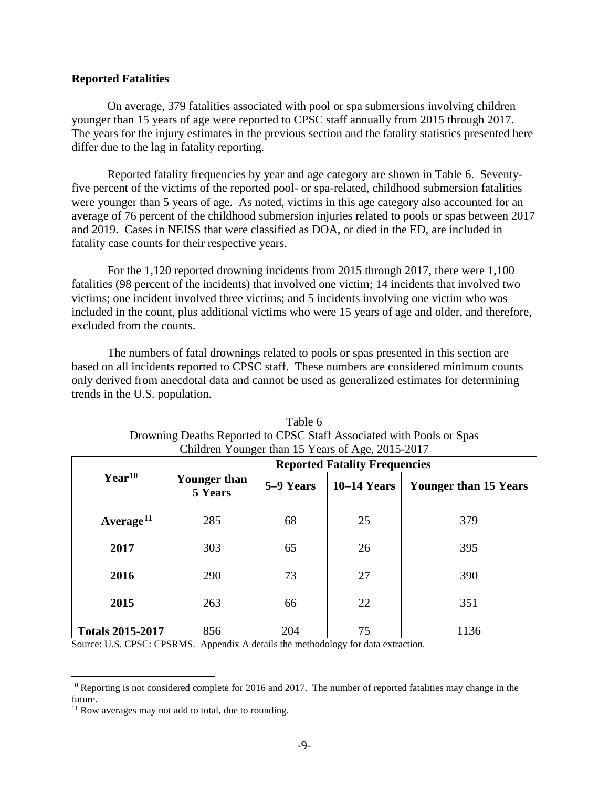### **Reported Fatalities**

On average, 379 fatalities associated with pool or spa submersions involving children younger than 15 years of age were reported to CPSC staff annually from 2015 through 2017. The years for the injury estimates in the previous section and the fatality statistics presented here differ due to the lag in fatality reporting.

Reported fatality frequencies by year and age category are shown in Table 6. Seventyfive percent of the victims of the reported pool- or spa-related, childhood submersion fatalities were younger than 5 years of age. As noted, victims in this age category also accounted for an average of 76 percent of the childhood submersion injuries related to pools or spas between 2017 and 2019. Cases in NEISS that were classified as DOA, or died in the ED, are included in fatality case counts for their respective years.

For the 1,120 reported drowning incidents from 2015 through 2017, there were 1,100 fatalities (98 percent of the incidents) that involved one victim; 14 incidents that involved two victims; one incident involved three victims; and 5 incidents involving one victim who was included in the count, plus additional victims who were 15 years of age and older, and therefore, excluded from the counts.

The numbers of fatal drownings related to pools or spas presented in this section are based on all incidents reported to CPSC staff. These numbers are considered minimum counts only derived from anecdotal data and cannot be used as generalized estimates for determining trends in the U.S. population.

|                         | Contained Townger than 15 Teams of $H_{\rm QQ}$ , 2015 2017<br><b>Reported Fatality Frequencies</b> |           |               |                              |
|-------------------------|-----------------------------------------------------------------------------------------------------|-----------|---------------|------------------------------|
| $Year^{10}$             | Younger than<br>5 Years                                                                             | 5–9 Years | $10-14$ Years | <b>Younger than 15 Years</b> |
| Average <sup>11</sup>   | 285                                                                                                 | 68        | 25            | 379                          |
| 2017                    | 303                                                                                                 | 65        | 26            | 395                          |
| 2016                    | 290                                                                                                 | 73        | 27            | 390                          |
| 2015                    | 263                                                                                                 | 66        | 22            | 351                          |
| <b>Totals 2015-2017</b> | 856                                                                                                 | 204       | 75            | 1136                         |

| Table 6                                                              |
|----------------------------------------------------------------------|
| Drowning Deaths Reported to CPSC Staff Associated with Pools or Spas |
| Children Younger than 15 Years of Age, 2015-2017                     |

<span id="page-8-0"></span> $10$  Reporting is not considered complete for 2016 and 2017. The number of reported fatalities may change in the future.

<span id="page-8-1"></span><sup>&</sup>lt;sup>11</sup> Row averages may not add to total, due to rounding.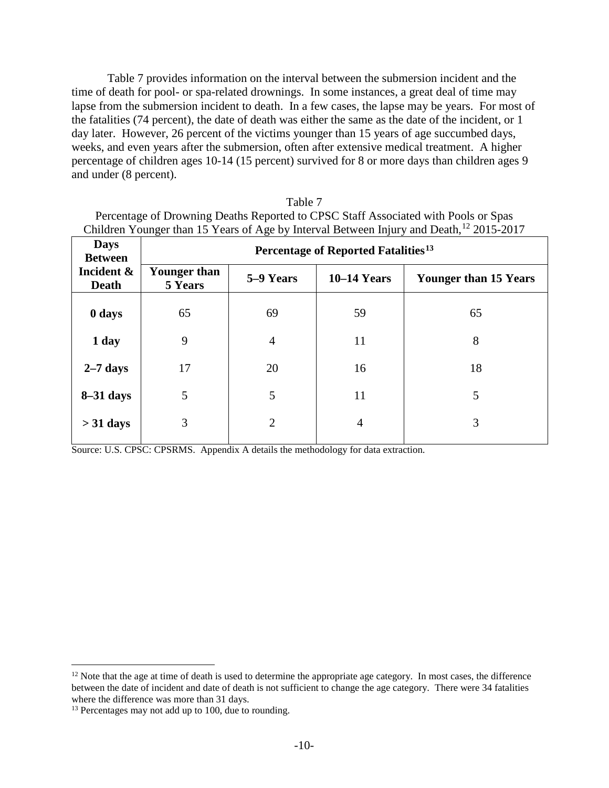Table 7 provides information on the interval between the submersion incident and the time of death for pool- or spa-related drownings. In some instances, a great deal of time may lapse from the submersion incident to death. In a few cases, the lapse may be years. For most of the fatalities (74 percent), the date of death was either the same as the date of the incident, or 1 day later. However, 26 percent of the victims younger than 15 years of age succumbed days, weeks, and even years after the submersion, often after extensive medical treatment. A higher percentage of children ages 10-14 (15 percent) survived for 8 or more days than children ages 9 and under (8 percent).

| Table 7                                                                                             |
|-----------------------------------------------------------------------------------------------------|
| Percentage of Drowning Deaths Reported to CPSC Staff Associated with Pools or Spas                  |
| Children Younger than 15 Years of Age by Interval Between Injury and Death, <sup>12</sup> 2015-2017 |

| <b>Days</b><br><b>Between</b> | Percentage of Reported Fatalities <sup>13</sup> |                |               |                              |
|-------------------------------|-------------------------------------------------|----------------|---------------|------------------------------|
| Incident &<br><b>Death</b>    | Younger than<br>5 Years                         | 5–9 Years      | $10-14$ Years | <b>Younger than 15 Years</b> |
| 0 days                        | 65                                              | 69             | 59            | 65                           |
| 1 day                         | 9                                               | $\overline{4}$ | 11            | 8                            |
| $2-7$ days                    | 17                                              | 20             | 16            | 18                           |
| $8-31$ days                   | 5                                               | 5              | 11            | 5                            |
| $>$ 31 days                   | 3                                               | $\overline{2}$ | 4             | 3                            |

<span id="page-9-0"></span><sup>&</sup>lt;sup>12</sup> Note that the age at time of death is used to determine the appropriate age category. In most cases, the difference between the date of incident and date of death is not sufficient to change the age category. There were 34 fatalities where the difference was more than 31 days.

<span id="page-9-1"></span><sup>&</sup>lt;sup>13</sup> Percentages may not add up to 100, due to rounding.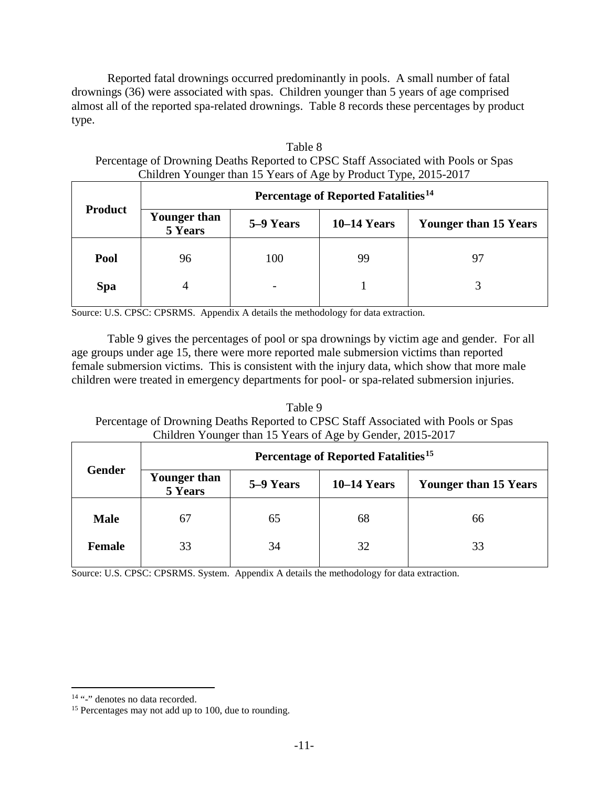Reported fatal drownings occurred predominantly in pools. A small number of fatal drownings (36) were associated with spas. Children younger than 5 years of age comprised almost all of the reported spa-related drownings. Table 8 records these percentages by product type.

| Table 8                                                                            |
|------------------------------------------------------------------------------------|
| Percentage of Drowning Deaths Reported to CPSC Staff Associated with Pools or Spas |
| Children Younger than 15 Years of Age by Product Type, 2015-2017                   |

|                | Percentage of Reported Fatalities <sup>14</sup> |           |               |                              |
|----------------|-------------------------------------------------|-----------|---------------|------------------------------|
| <b>Product</b> | <b>Younger than</b><br>5 Years                  | 5–9 Years | $10-14$ Years | <b>Younger than 15 Years</b> |
| Pool           | 96                                              | 100       | 99            | 97                           |
| <b>Spa</b>     |                                                 |           |               |                              |

Source: U.S. CPSC: CPSRMS. Appendix A details the methodology for data extraction.

Table 9 gives the percentages of pool or spa drownings by victim age and gender. For all age groups under age 15, there were more reported male submersion victims than reported female submersion victims. This is consistent with the injury data, which show that more male children were treated in emergency departments for pool- or spa-related submersion injuries.

Table 9 Percentage of Drowning Deaths Reported to CPSC Staff Associated with Pools or Spas Children Younger than 15 Years of Age by Gender, 2015-2017

|               | Percentage of Reported Fatalities <sup>15</sup> |           |               |                              |
|---------------|-------------------------------------------------|-----------|---------------|------------------------------|
| <b>Gender</b> | <b>Younger than</b><br>5 Years                  | 5–9 Years | $10-14$ Years | <b>Younger than 15 Years</b> |
| <b>Male</b>   | 67                                              | 65        | 68            | 66                           |
| Female        | 33                                              | 34        | 32            | 33                           |

<span id="page-10-0"></span><sup>&</sup>lt;sup>14</sup> "-" denotes no data recorded.

<span id="page-10-1"></span><sup>&</sup>lt;sup>15</sup> Percentages may not add up to 100, due to rounding.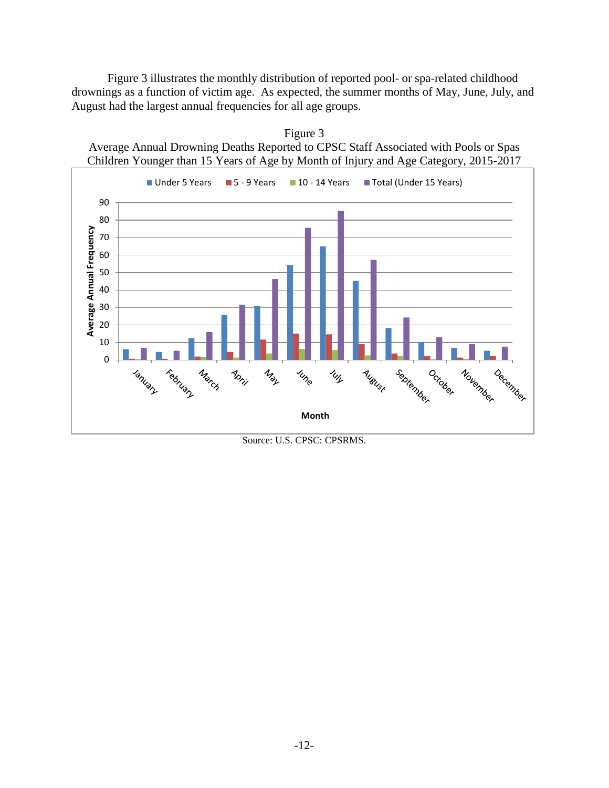Figure 3 illustrates the monthly distribution of reported pool- or spa-related childhood drownings as a function of victim age. As expected, the summer months of May, June, July, and August had the largest annual frequencies for all age groups.



Figure 3 Average Annual Drowning Deaths Reported to CPSC Staff Associated with Pools or Spas

Source: U.S. CPSC: CPSRMS.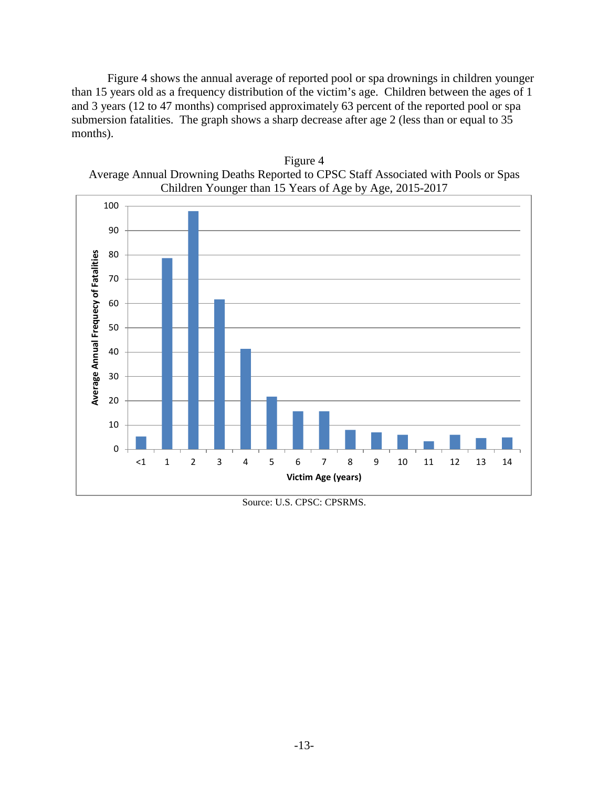Figure 4 shows the annual average of reported pool or spa drownings in children younger than 15 years old as a frequency distribution of the victim's age. Children between the ages of 1 and 3 years (12 to 47 months) comprised approximately 63 percent of the reported pool or spa submersion fatalities. The graph shows a sharp decrease after age 2 (less than or equal to 35 months).



Figure 4 Average Annual Drowning Deaths Reported to CPSC Staff Associated with Pools or Spas

Source: U.S. CPSC: CPSRMS.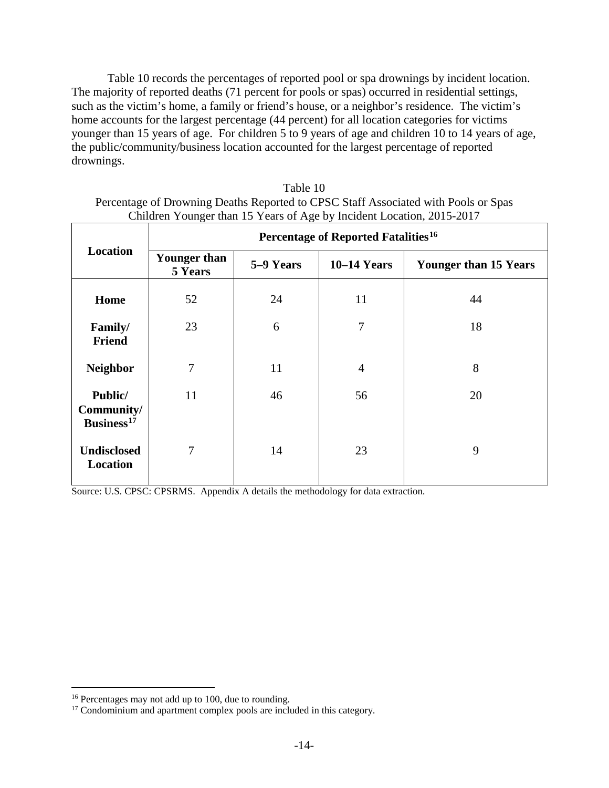Table 10 records the percentages of reported pool or spa drownings by incident location. The majority of reported deaths (71 percent for pools or spas) occurred in residential settings, such as the victim's home, a family or friend's house, or a neighbor's residence. The victim's home accounts for the largest percentage (44 percent) for all location categories for victims younger than 15 years of age. For children 5 to 9 years of age and children 10 to 14 years of age, the public/community/business location accounted for the largest percentage of reported drownings.

| Children Younger than 15 Years of Age by Incident Location, 2015-2017 |                                                 |           |                |                              |
|-----------------------------------------------------------------------|-------------------------------------------------|-----------|----------------|------------------------------|
|                                                                       | Percentage of Reported Fatalities <sup>16</sup> |           |                |                              |
| Location                                                              | <b>Younger than</b><br>5 Years                  | 5–9 Years | $10-14$ Years  | <b>Younger than 15 Years</b> |
| Home                                                                  | 52                                              | 24        | 11             | 44                           |
| Family/<br><b>Friend</b>                                              | 23                                              | 6         | $\overline{7}$ | 18                           |
| <b>Neighbor</b>                                                       | 7                                               | 11        | $\overline{4}$ | 8                            |
| Public/<br>Community/<br>Business <sup>17</sup>                       | 11                                              | 46        | 56             | 20                           |
| <b>Undisclosed</b><br>Location                                        | 7                                               | 14        | 23             | 9                            |

Table 10 Percentage of Drowning Deaths Reported to CPSC Staff Associated with Pools or Spas Children Younger than 15 Years of Age by Incident Location, 2015-2017

<span id="page-13-0"></span><sup>&</sup>lt;sup>16</sup> Percentages may not add up to 100, due to rounding.

<span id="page-13-1"></span><sup>&</sup>lt;sup>17</sup> Condominium and apartment complex pools are included in this category.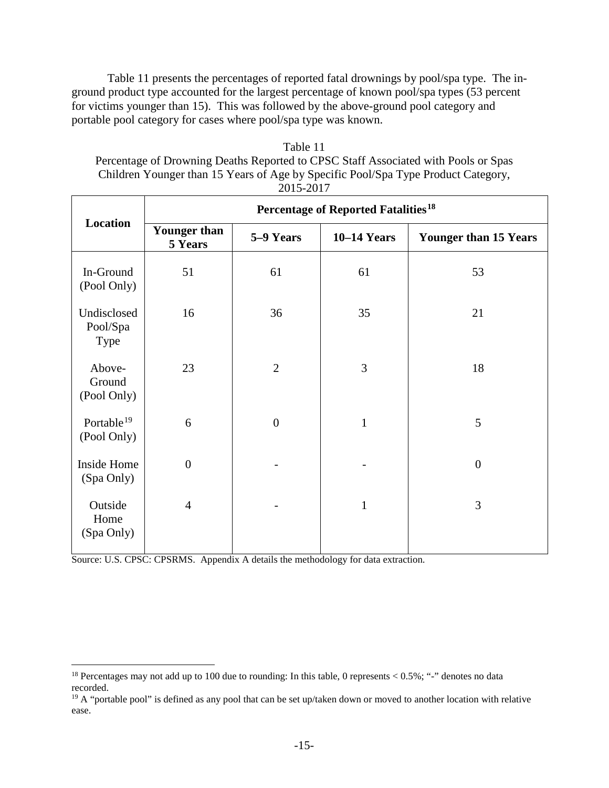Table 11 presents the percentages of reported fatal drownings by pool/spa type. The inground product type accounted for the largest percentage of known pool/spa types (53 percent for victims younger than 15). This was followed by the above-ground pool category and portable pool category for cases where pool/spa type was known.

| Table 11                                                                           |
|------------------------------------------------------------------------------------|
| Percentage of Drowning Deaths Reported to CPSC Staff Associated with Pools or Spas |
| Children Younger than 15 Years of Age by Specific Pool/Spa Type Product Category,  |
| 2015-2017                                                                          |

|                                        | Percentage of Reported Fatalities <sup>18</sup> |                  |                    |                              |
|----------------------------------------|-------------------------------------------------|------------------|--------------------|------------------------------|
| Location                               | <b>Younger than</b><br>5 Years                  | 5-9 Years        | <b>10-14 Years</b> | <b>Younger than 15 Years</b> |
| In-Ground<br>(Pool Only)               | 51                                              | 61               | 61                 | 53                           |
| Undisclosed<br>Pool/Spa<br><b>Type</b> | 16                                              | 36               | 35                 | 21                           |
| Above-<br>Ground<br>(Pool Only)        | 23                                              | $\overline{2}$   | 3                  | 18                           |
| Portable <sup>19</sup><br>(Pool Only)  | 6                                               | $\boldsymbol{0}$ | $\mathbf{1}$       | 5                            |
| Inside Home<br>(Spa Only)              | $\boldsymbol{0}$                                |                  |                    | $\overline{0}$               |
| Outside<br>Home<br>(Spa Only)          | $\overline{4}$                                  |                  | $\mathbf{1}$       | 3                            |

<span id="page-14-0"></span><sup>&</sup>lt;sup>18</sup> Percentages may not add up to 100 due to rounding: In this table, 0 represents < 0.5%; "-" denotes no data recorded.

<span id="page-14-1"></span><sup>&</sup>lt;sup>19</sup> A "portable pool" is defined as any pool that can be set up/taken down or moved to another location with relative ease.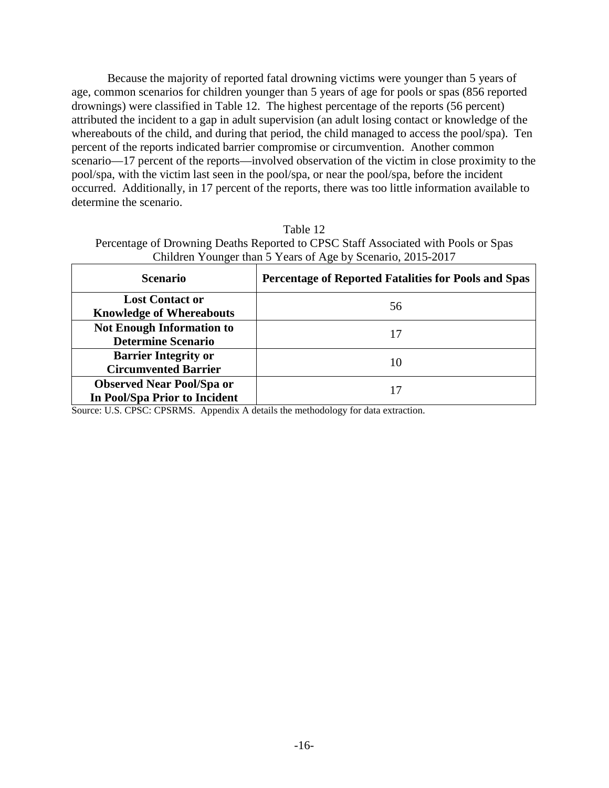Because the majority of reported fatal drowning victims were younger than 5 years of age, common scenarios for children younger than 5 years of age for pools or spas (856 reported drownings) were classified in Table 12. The highest percentage of the reports (56 percent) attributed the incident to a gap in adult supervision (an adult losing contact or knowledge of the whereabouts of the child, and during that period, the child managed to access the pool/spa). Ten percent of the reports indicated barrier compromise or circumvention. Another common scenario—17 percent of the reports—involved observation of the victim in close proximity to the pool/spa, with the victim last seen in the pool/spa, or near the pool/spa, before the incident occurred. Additionally, in 17 percent of the reports, there was too little information available to determine the scenario.

| Table 12                                                                           |
|------------------------------------------------------------------------------------|
| Percentage of Drowning Deaths Reported to CPSC Staff Associated with Pools or Spas |
| Children Younger than 5 Years of Age by Scenario, 2015-2017                        |

| <b>Scenario</b>                                                   | <b>Percentage of Reported Fatalities for Pools and Spas</b> |
|-------------------------------------------------------------------|-------------------------------------------------------------|
| <b>Lost Contact or</b><br><b>Knowledge of Whereabouts</b>         | 56                                                          |
| <b>Not Enough Information to</b><br><b>Determine Scenario</b>     | 17                                                          |
| <b>Barrier Integrity or</b><br><b>Circumvented Barrier</b>        | 10                                                          |
| <b>Observed Near Pool/Spa or</b><br>In Pool/Spa Prior to Incident | 17                                                          |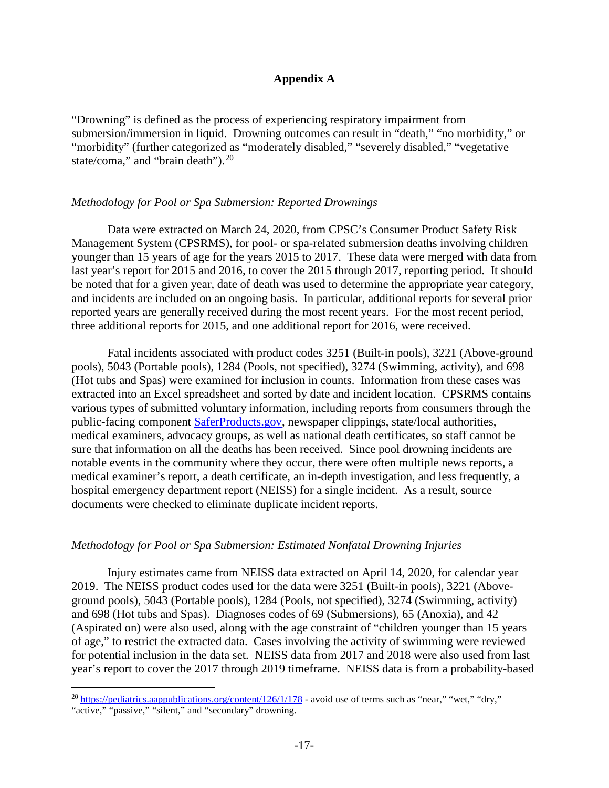### **Appendix A**

"Drowning" is defined as the process of experiencing respiratory impairment from submersion/immersion in liquid. Drowning outcomes can result in "death," "no morbidity," or "morbidity" (further categorized as "moderately disabled," "severely disabled," "vegetative state/coma," and "brain death").<sup>[20](#page-16-0)</sup>

### *Methodology for Pool or Spa Submersion: Reported Drownings*

Data were extracted on March 24, 2020, from CPSC's Consumer Product Safety Risk Management System (CPSRMS), for pool- or spa-related submersion deaths involving children younger than 15 years of age for the years 2015 to 2017. These data were merged with data from last year's report for 2015 and 2016, to cover the 2015 through 2017, reporting period. It should be noted that for a given year, date of death was used to determine the appropriate year category, and incidents are included on an ongoing basis. In particular, additional reports for several prior reported years are generally received during the most recent years. For the most recent period, three additional reports for 2015, and one additional report for 2016, were received.

Fatal incidents associated with product codes 3251 (Built-in pools), 3221 (Above-ground pools), 5043 (Portable pools), 1284 (Pools, not specified), 3274 (Swimming, activity), and 698 (Hot tubs and Spas) were examined for inclusion in counts. Information from these cases was extracted into an Excel spreadsheet and sorted by date and incident location. CPSRMS contains various types of submitted voluntary information, including reports from consumers through the public-facing component [SaferProducts.gov,](https://www.saferproducts.gov/) newspaper clippings, state/local authorities, medical examiners, advocacy groups, as well as national death certificates, so staff cannot be sure that information on all the deaths has been received. Since pool drowning incidents are notable events in the community where they occur, there were often multiple news reports, a medical examiner's report, a death certificate, an in-depth investigation, and less frequently, a hospital emergency department report (NEISS) for a single incident. As a result, source documents were checked to eliminate duplicate incident reports.

### *Methodology for Pool or Spa Submersion: Estimated Nonfatal Drowning Injuries*

Injury estimates came from NEISS data extracted on April 14, 2020, for calendar year 2019. The NEISS product codes used for the data were 3251 (Built-in pools), 3221 (Aboveground pools), 5043 (Portable pools), 1284 (Pools, not specified), 3274 (Swimming, activity) and 698 (Hot tubs and Spas). Diagnoses codes of 69 (Submersions), 65 (Anoxia), and 42 (Aspirated on) were also used, along with the age constraint of "children younger than 15 years of age," to restrict the extracted data. Cases involving the activity of swimming were reviewed for potential inclusion in the data set. NEISS data from 2017 and 2018 were also used from last year's report to cover the 2017 through 2019 timeframe. NEISS data is from a probability-based

<span id="page-16-0"></span><sup>&</sup>lt;sup>20</sup> <https://pediatrics.aappublications.org/content/126/1/178> - avoid use of terms such as "near," "wet," "dry," "active," "passive," "silent," and "secondary" drowning.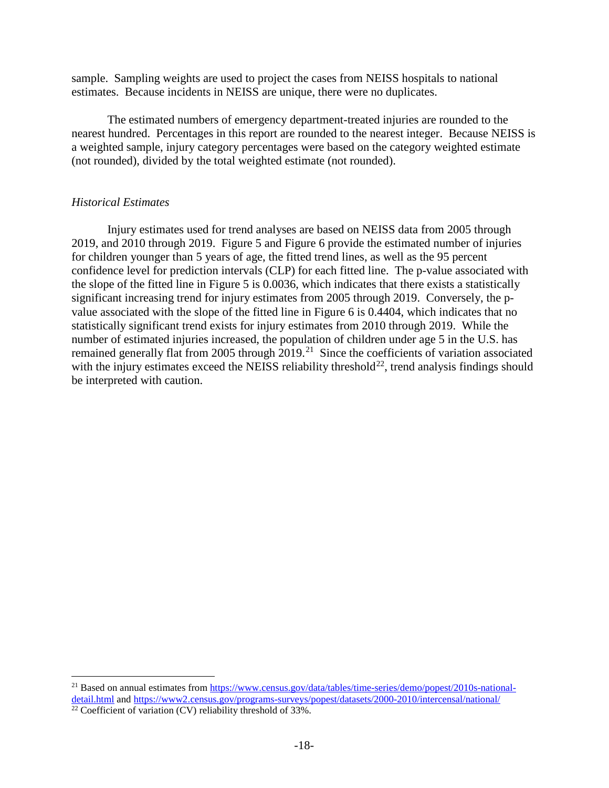sample. Sampling weights are used to project the cases from NEISS hospitals to national estimates. Because incidents in NEISS are unique, there were no duplicates.

The estimated numbers of emergency department-treated injuries are rounded to the nearest hundred. Percentages in this report are rounded to the nearest integer. Because NEISS is a weighted sample, injury category percentages were based on the category weighted estimate (not rounded), divided by the total weighted estimate (not rounded).

# *Historical Estimates*

Injury estimates used for trend analyses are based on NEISS data from 2005 through 2019, and 2010 through 2019. Figure 5 and Figure 6 provide the estimated number of injuries for children younger than 5 years of age, the fitted trend lines, as well as the 95 percent confidence level for prediction intervals (CLP) for each fitted line. The p-value associated with the slope of the fitted line in Figure 5 is 0.0036, which indicates that there exists a statistically significant increasing trend for injury estimates from 2005 through 2019. Conversely, the pvalue associated with the slope of the fitted line in Figure 6 is 0.4404, which indicates that no statistically significant trend exists for injury estimates from 2010 through 2019. While the number of estimated injuries increased, the population of children under age 5 in the U.S. has remained generally flat from 2005 through 2019.<sup>21</sup> Since the coefficients of variation associated with the injury estimates exceed the NEISS reliability threshold<sup>22</sup>, trend analysis findings should be interpreted with caution.

<span id="page-17-0"></span><sup>&</sup>lt;sup>21</sup> Based on annual estimates from [https://www.census.gov/data/tables/time-series/demo/popest/2010s-national](https://www.census.gov/data/tables/time-series/demo/popest/2010s-national-detail.html)[detail.html](https://www.census.gov/data/tables/time-series/demo/popest/2010s-national-detail.html) and<https://www2.census.gov/programs-surveys/popest/datasets/2000-2010/intercensal/national/>

<span id="page-17-1"></span> $\frac{22}{22}$  Coefficient of variation (CV) reliability threshold of 33%.